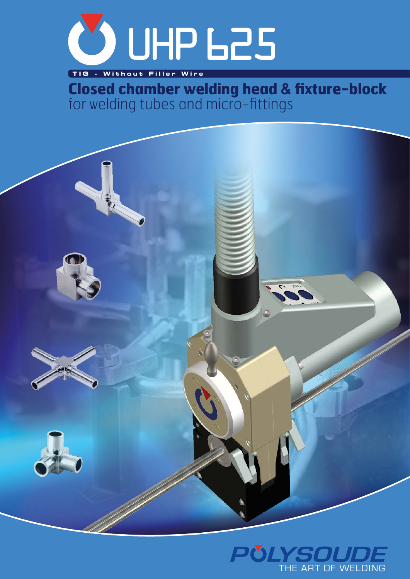

 **TIG - Without Filler Wire**

**Closed chamber welding head & fixture-block**  for welding tubes and micro-fittings